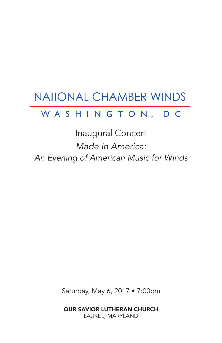# NATIONAL CHAMBER WINDS

## WASHINGTON, DC

Inaugural Concert *Made in America: An Evening of American Music for Winds*

Saturday, May 6, 2017 • 7:00pm

OUR SAVIOR LUTHERAN CHURCH LAUREL, MARYLAND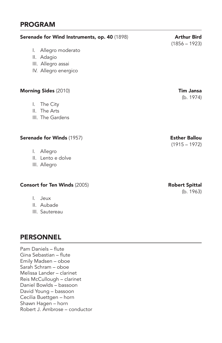### PROGRAM

| Serenade for Wind Instruments, op. 40 (1898)                                    | <b>Arthur Bird</b><br>$(1856 - 1923)$   |
|---------------------------------------------------------------------------------|-----------------------------------------|
| I. Allegro moderato<br>II. Adagio<br>III. Allegro assai<br>IV. Allegro energico |                                         |
| <b>Morning Sides (2010)</b>                                                     | <b>Tim Jansa</b><br>(b. 1974)           |
| I. The City<br>II. The Arts<br>III. The Gardens                                 |                                         |
| Serenade for Winds (1957)<br>I. Allegro                                         | <b>Esther Ballou</b><br>$(1915 - 1972)$ |
| II. Lento e dolve<br>III. Allegro                                               |                                         |
| <b>Consort for Ten Winds (2005)</b>                                             | <b>Robert Spittal</b><br>(b. 1963)      |
| I. Jeux<br>II. Aubade<br>III. Sautereau                                         |                                         |
|                                                                                 |                                         |

## PERSONNEL

Pam Daniels – flute Gina Sebastian – flute Emily Madsen – oboe Sarah Schram – oboe Melissa Lander – clarinet Reis McCullough – clarinet Daniel Bowlds – bassoon David Young – bassoon Cecilia Buettgen – horn Shawn Hagen – horn Robert J. Ambrose – conductor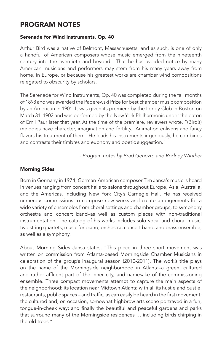## PROGRAM NOTES

#### Serenade for Wind Instruments, Op. 40

Arthur Bird was a native of Belmont, Massachusetts, and as such, is one of only a handful of American composers whose music emerged from the nineteenth century into the twentieth and beyond. That he has avoided notice by many American musicians and performers may stem from his many years away from home, in Europe, or because his greatest works are chamber wind compositions relegated to obscurity by scholars.

The Serenade for Wind Instruments, Op. 40 was completed during the fall months of 1898 and was awarded the Paderewski Prize for best chamber music composition by an American in 1901. It was given its premiere by the Longy Club in Boston on March 31, 1902 and was performed by the New York Philharmonic under the baton of Emil Paur later that year. At the time of the premiere, reviewers wrote, "(Bird's) melodies have character, imagination and fertility. Animation enlivens and fancy flavors his treatment of them. He leads his instruments ingeniously; he combines and contrasts their timbres and euphony and poetic suggestion."

*- Program notes by Brad Genevro and Rodney Winther*

#### Morning Sides

Born in Germany in 1974, German-American composer Tim Jansa's music is heard in venues ranging from concert halls to salons throughout Europe, Asia, Australia, and the Americas, including New York City's Carnegie Hall. He has received numerous commissions to compose new works and create arrangements for a wide variety of ensembles from choral settings and chamber groups, to symphony orchestra and concert band–as well as custom pieces with non-traditional instrumentation. The catalog of his works includes solo vocal and choral music; two string quartets; music for piano, orchestra, concert band, and brass ensemble; as well as a symphony.

About Morning Sides Jansa states, "This piece in three short movement was written on commission from Atlanta-based Morningside Chamber Musicians in celebration of the group's inaugural season (2010-2011). The work's title plays on the name of the Morningside neighborhood in Atlanta–a green, cultured and rather affluent part of the inner city, and namesake of the commissioning ensemble. Three compact movements attempt to capture the main aspects of the neighborhood: its location near Midtown Atlanta with all its hustle and bustle, restaurants, public spaces – and traffic, as can easily be heard in the first movement; the cultured and, on occasion, somewhat highbrow arts scene portrayed in a fun, tongue-in-cheek way; and finally the beautiful and peaceful gardens and parks that surround many of the Morningside residences … including birds chirping in the old trees."